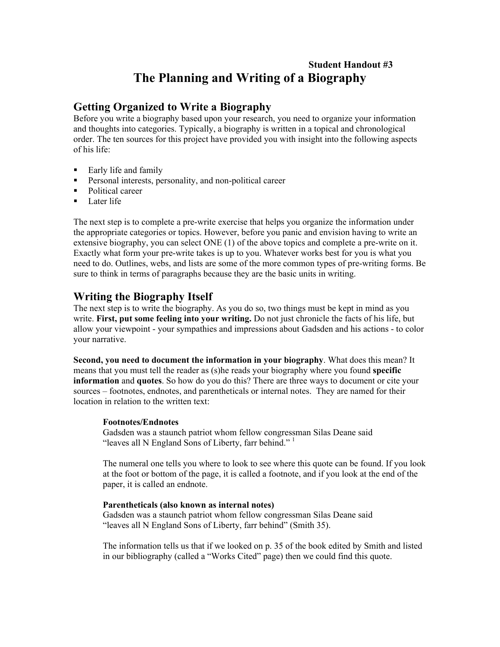# **Student Handout #3 The Planning and Writing of a Biography**

## **Getting Organized to Write a Biography**

Before you write a biography based upon your research, you need to organize your information and thoughts into categories. Typically, a biography is written in a topical and chronological order. The ten sources for this project have provided you with insight into the following aspects of his life:

- Early life and family
- **Personal interests, personality, and non-political career**
- Political career
- $\blacksquare$  Later life

The next step is to complete a pre-write exercise that helps you organize the information under the appropriate categories or topics. However, before you panic and envision having to write an extensive biography, you can select ONE (1) of the above topics and complete a pre-write on it. Exactly what form your prewrite takes is up to you. Whatever works best for you is what you need to do. Outlines, webs, and lists are some of the more common types of pre-writing forms. Be sure to think in terms of paragraphs because they are the basic units in writing.

### **Writing the Biography Itself**

The next step is to write the biography. As you do so, two things must be kept in mind as you write. **First, put some feeling into your writing.** Do not just chronicle the facts of his life, but allow your viewpoint - your sympathies and impressions about Gadsden and his actions - to color your narrative.

**Second, you need to document the information in your biography**. What does this mean? It means that you must tell the reader as (s)he reads your biography where you found **specific information** and **quotes**. So how do you do this? There are three ways to document or cite your sources – footnotes, endnotes, and parentheticals or internal notes. They are named for their location in relation to the written text:

### **Footnotes/Endnotes**

Gadsden was a staunch patriot whom fellow congressman Silas Deane said "leaves all N England Sons of Liberty, farr behind."  $\frac{1}{1}$ 

The numeral one tells you where to look to see where this quote can be found. If you look at the foot or bottom of the page, it is called a footnote, and if you look at the end of the paper, it is called an endnote.

### **Parentheticals (also known as internal notes)**

Gadsden was a staunch patriot whom fellow congressman Silas Deane said "leaves all N England Sons of Liberty, farr behind" (Smith 35).

The information tells us that if we looked on p. 35 of the book edited by Smith and listed in our bibliography (called a "Works Cited" page) then we could find this quote.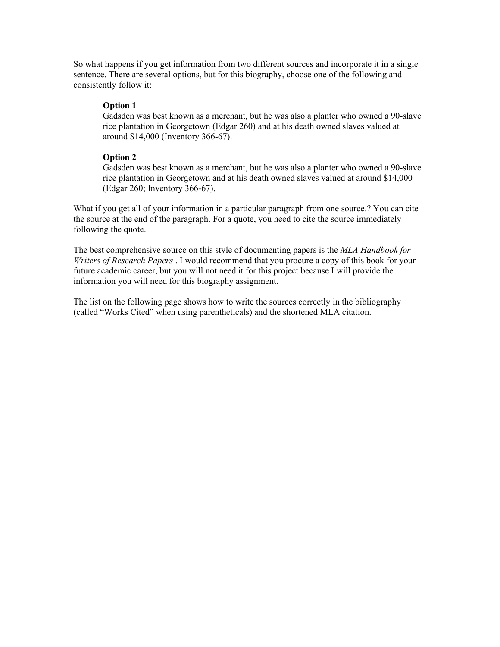So what happens if you get information from two different sources and incorporate it in a single sentence. There are several options, but for this biography, choose one of the following and consistently follow it:

### **Option 1**

Gadsden was best known as a merchant, but he was also a planter who owned a 90-slave rice plantation in Georgetown (Edgar 260) and at his death owned slaves valued at around \$14,000 (Inventory 366-67).

### **Option 2**

Gadsden was best known as a merchant, but he was also a planter who owned a 90-slave rice plantation in Georgetown and at his death owned slaves valued at around \$14,000  $(Edgar 260; Inventory 366-67).$ 

What if you get all of your information in a particular paragraph from one source.? You can cite the source at the end of the paragraph. For a quote, you need to cite the source immediately following the quote.

The best comprehensive source on this style of documenting papers is the *MLA Handbook for Writers of Research Papers* . I would recommend that you procure a copy of this book for your future academic career, but you will not need it for this project because I will provide the information you will need for this biography assignment.

The list on the following page shows how to write the sources correctly in the bibliography (called "Works Cited" when using parentheticals) and the shortened MLA citation.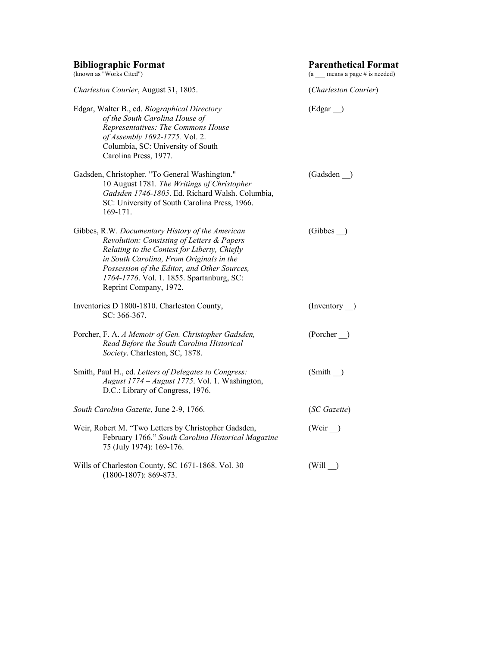| <b>Bibliographic Format</b><br>(known as "Works Cited")                                                                                                                                                                                                                                                           | <b>Parenthetical Format</b><br>$(a \text{ means a page } # \text{ is needed})$ |  |
|-------------------------------------------------------------------------------------------------------------------------------------------------------------------------------------------------------------------------------------------------------------------------------------------------------------------|--------------------------------------------------------------------------------|--|
| Charleston Courier, August 31, 1805.                                                                                                                                                                                                                                                                              | (Charleston Courier)                                                           |  |
| Edgar, Walter B., ed. Biographical Directory<br>of the South Carolina House of<br>Representatives: The Commons House<br>of Assembly 1692-1775. Vol. 2.<br>Columbia, SC: University of South<br>Carolina Press, 1977.                                                                                              | $(\text{Edgar}$ <sub>)</sub>                                                   |  |
| Gadsden, Christopher. "To General Washington."<br>10 August 1781. The Writings of Christopher<br>Gadsden 1746-1805. Ed. Richard Walsh. Columbia,<br>SC: University of South Carolina Press, 1966.<br>169-171.                                                                                                     | (Gadsden)                                                                      |  |
| Gibbes, R.W. Documentary History of the American<br>Revolution: Consisting of Letters & Papers<br>Relating to the Contest for Liberty, Chiefly<br>in South Carolina, From Originals in the<br>Possession of the Editor, and Other Sources,<br>1764-1776. Vol. 1. 1855. Spartanburg, SC:<br>Reprint Company, 1972. | (Gibbes)                                                                       |  |
| Inventories D 1800-1810. Charleston County,<br>$SC: 366-367.$                                                                                                                                                                                                                                                     | $($ Inventory $\_)$                                                            |  |
| Porcher, F. A. A Memoir of Gen. Christopher Gadsden,<br>Read Before the South Carolina Historical<br>Society. Charleston, SC, 1878.                                                                                                                                                                               | (Porcher)                                                                      |  |
| Smith, Paul H., ed. Letters of Delegates to Congress:<br>August 1774 – August 1775. Vol. 1. Washington,<br>D.C.: Library of Congress, 1976.                                                                                                                                                                       | $(Smith_$                                                                      |  |
| South Carolina Gazette, June 2-9, 1766.                                                                                                                                                                                                                                                                           | (SC Gazette)                                                                   |  |
| Weir, Robert M. "Two Letters by Christopher Gadsden,<br>February 1766." South Carolina Historical Magazine<br>75 (July 1974): 169-176.                                                                                                                                                                            | (Weir)                                                                         |  |
| Wills of Charleston County, SC 1671-1868. Vol. 30<br>$(1800-1807)$ : 869-873.                                                                                                                                                                                                                                     | (Will)                                                                         |  |